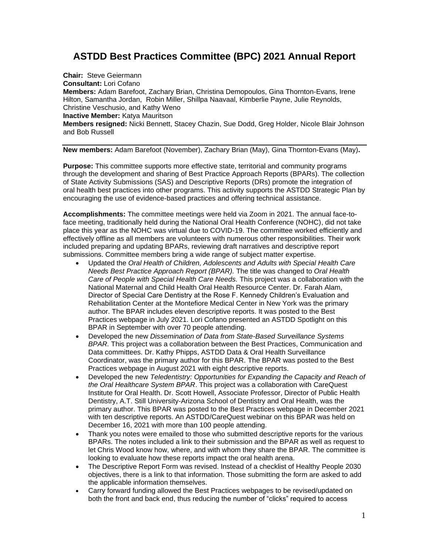## **ASTDD Best Practices Committee (BPC) 2021 Annual Report**

**Chair:** Steve Geiermann **Consultant:** Lori Cofano **Members:** Adam Barefoot, Zachary Brian, Christina Demopoulos, Gina Thornton-Evans, Irene Hilton, Samantha Jordan, Robin Miller, Shillpa Naavaal, Kimberlie Payne, Julie Reynolds, Christine Veschusio, and Kathy Weno **Inactive Member:** Katya Mauritson **Members resigned:** Nicki Bennett, Stacey Chazin, Sue Dodd, Greg Holder, Nicole Blair Johnson and Bob Russell

**New members:** Adam Barefoot (November), Zachary Brian (May), Gina Thornton-Evans (May)**.**

**Purpose:** This committee supports more effective state, territorial and community programs through the development and sharing of Best Practice Approach Reports (BPARs). The collection of State Activity Submissions (SAS) and Descriptive Reports (DRs) promote the integration of oral health best practices into other programs. This activity supports the ASTDD Strategic Plan by encouraging the use of evidence-based practices and offering technical assistance.

**Accomplishments:** The committee meetings were held via Zoom in 2021. The annual face-toface meeting, traditionally held during the National Oral Health Conference (NOHC), did not take place this year as the NOHC was virtual due to COVID-19. The committee worked efficiently and effectively offline as all members are volunteers with numerous other responsibilities. Their work included preparing and updating BPARs, reviewing draft narratives and descriptive report submissions. Committee members bring a wide range of subject matter expertise.

- Updated the *Oral Health of Children, Adolescents and Adults with Special Health Care Needs Best Practice Approach Report (BPAR).* The title was changed to *Oral Health Care of People with Special Health Care Needs.* This project was a collaboration with the National Maternal and Child Health Oral Health Resource Center. Dr. Farah Alam, Director of Special Care Dentistry at the Rose F. Kennedy Children's Evaluation and Rehabilitation Center at the Montefiore Medical Center in New York was the primary author. The BPAR includes eleven descriptive reports. It was posted to the Best Practices webpage in July 2021. Lori Cofano presented an ASTDD Spotlight on this BPAR in September with over 70 people attending.
- Developed the new *Dissemination of Data from State-Based Surveillance Systems BPAR.* This project was a collaboration between the Best Practices, Communication and Data committees. Dr. Kathy Phipps, ASTDD Data & Oral Health Surveillance Coordinator, was the primary author for this BPAR. The BPAR was posted to the Best Practices webpage in August 2021 with eight descriptive reports.
- Developed the new *Teledentistry: Opportunities for Expanding the Capacity and Reach of the Oral Healthcare System BPAR*. This project was a collaboration with CareQuest Institute for Oral Health. Dr. Scott Howell, Associate Professor, Director of Public Health Dentistry, A.T. Still University-Arizona School of Dentistry and Oral Health, was the primary author. This BPAR was posted to the Best Practices webpage in December 2021 with ten descriptive reports. An ASTDD/CareQuest webinar on this BPAR was held on December 16, 2021 with more than 100 people attending.
- Thank you notes were emailed to those who submitted descriptive reports for the various BPARs. The notes included a link to their submission and the BPAR as well as request to let Chris Wood know how, where, and with whom they share the BPAR. The committee is looking to evaluate how these reports impact the oral health arena.
- The Descriptive Report Form was revised. Instead of a checklist of Healthy People 2030 objectives, there is a link to that information. Those submitting the form are asked to add the applicable information themselves.
- Carry forward funding allowed the Best Practices webpages to be revised/updated on both the front and back end, thus reducing the number of "clicks" required to access